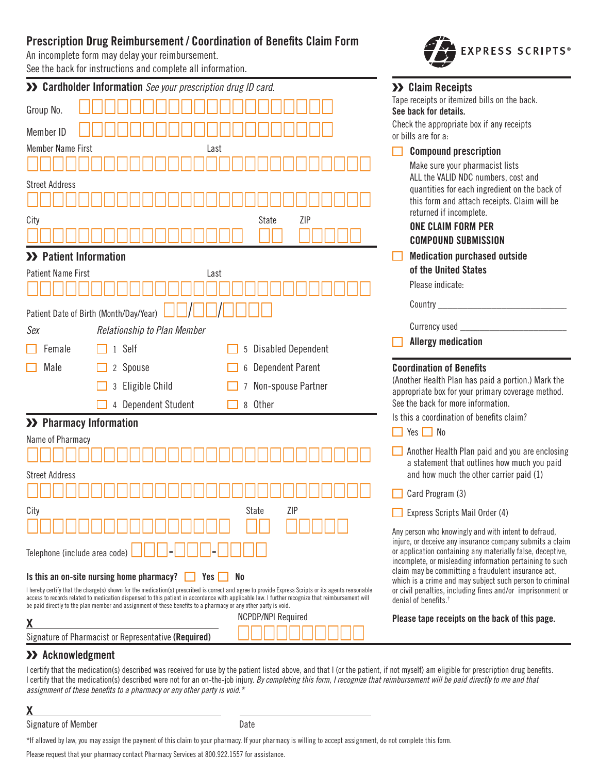# **Prescription Drug Reimbursement / Coordination of Benefits Claim Form**

An incomplete form may delay your reimbursement.

See the back for instructions and complete all information.

|                                                                                                                                                                                                                                                                                                                                           | >> Cardholder Information See your prescription drug ID card.                                                  |                                                                                                                                                  | >> Claim Receipts                                                                                                      |  |
|-------------------------------------------------------------------------------------------------------------------------------------------------------------------------------------------------------------------------------------------------------------------------------------------------------------------------------------------|----------------------------------------------------------------------------------------------------------------|--------------------------------------------------------------------------------------------------------------------------------------------------|------------------------------------------------------------------------------------------------------------------------|--|
| Group No.                                                                                                                                                                                                                                                                                                                                 |                                                                                                                |                                                                                                                                                  | Tape receipts or itemized bills on the back.<br>See back for details.                                                  |  |
|                                                                                                                                                                                                                                                                                                                                           |                                                                                                                |                                                                                                                                                  | Check the appropriate box if any receipts                                                                              |  |
| Member ID                                                                                                                                                                                                                                                                                                                                 |                                                                                                                |                                                                                                                                                  | or bills are for a:                                                                                                    |  |
| <b>Member Name First</b>                                                                                                                                                                                                                                                                                                                  | Last                                                                                                           |                                                                                                                                                  | <b>Compound prescription</b>                                                                                           |  |
|                                                                                                                                                                                                                                                                                                                                           |                                                                                                                | Make sure your pharmacist lists<br>ALL the VALID NDC numbers, cost and                                                                           |                                                                                                                        |  |
| <b>Street Address</b>                                                                                                                                                                                                                                                                                                                     |                                                                                                                | quantities for each ingredient on the back of                                                                                                    |                                                                                                                        |  |
|                                                                                                                                                                                                                                                                                                                                           |                                                                                                                |                                                                                                                                                  | this form and attach receipts. Claim will be<br>returned if incomplete.                                                |  |
| City                                                                                                                                                                                                                                                                                                                                      |                                                                                                                | ZIP<br>State                                                                                                                                     | <b>ONE CLAIM FORM PER</b>                                                                                              |  |
|                                                                                                                                                                                                                                                                                                                                           |                                                                                                                |                                                                                                                                                  | <b>COMPOUND SUBMISSION</b>                                                                                             |  |
| >> Patient Information                                                                                                                                                                                                                                                                                                                    |                                                                                                                | <b>Medication purchased outside</b>                                                                                                              |                                                                                                                        |  |
| <b>Patient Name First</b>                                                                                                                                                                                                                                                                                                                 | Last                                                                                                           | of the United States                                                                                                                             |                                                                                                                        |  |
|                                                                                                                                                                                                                                                                                                                                           |                                                                                                                |                                                                                                                                                  | Please indicate:                                                                                                       |  |
|                                                                                                                                                                                                                                                                                                                                           | Patient Date of Birth (Month/Day/Year)                                                                         | Country $\_\_$                                                                                                                                   |                                                                                                                        |  |
| Sex                                                                                                                                                                                                                                                                                                                                       | Relationship to Plan Member                                                                                    |                                                                                                                                                  | Currency used                                                                                                          |  |
|                                                                                                                                                                                                                                                                                                                                           |                                                                                                                |                                                                                                                                                  | <b>Allergy medication</b>                                                                                              |  |
| Female                                                                                                                                                                                                                                                                                                                                    | 1 Self                                                                                                         | 5 Disabled Dependent                                                                                                                             |                                                                                                                        |  |
| Male                                                                                                                                                                                                                                                                                                                                      | 2 Spouse                                                                                                       | <b>Dependent Parent</b><br>6                                                                                                                     | <b>Coordination of Benefits</b><br>(Another Health Plan has paid a portion.) Mark the                                  |  |
|                                                                                                                                                                                                                                                                                                                                           | Eligible Child<br>3                                                                                            | Non-spouse Partner                                                                                                                               | appropriate box for your primary coverage method.                                                                      |  |
|                                                                                                                                                                                                                                                                                                                                           | Dependent Student<br>4                                                                                         | 8 Other                                                                                                                                          | See the back for more information.                                                                                     |  |
| >> Pharmacy Information                                                                                                                                                                                                                                                                                                                   |                                                                                                                | Is this a coordination of benefits claim?                                                                                                        |                                                                                                                        |  |
| $\Box$ Yes $\Box$ No<br>Name of Pharmacy                                                                                                                                                                                                                                                                                                  |                                                                                                                |                                                                                                                                                  |                                                                                                                        |  |
|                                                                                                                                                                                                                                                                                                                                           |                                                                                                                |                                                                                                                                                  | Another Health Plan paid and you are enclosing<br>a statement that outlines how much you paid                          |  |
| <b>Street Address</b>                                                                                                                                                                                                                                                                                                                     |                                                                                                                |                                                                                                                                                  | and how much the other carrier paid (1)                                                                                |  |
|                                                                                                                                                                                                                                                                                                                                           |                                                                                                                |                                                                                                                                                  | Card Program (3)                                                                                                       |  |
| City                                                                                                                                                                                                                                                                                                                                      |                                                                                                                | ZIP<br>State                                                                                                                                     | Express Scripts Mail Order (4)                                                                                         |  |
|                                                                                                                                                                                                                                                                                                                                           |                                                                                                                |                                                                                                                                                  | Any person who knowingly and with intent to defraud,                                                                   |  |
| Telephone (include area code)                                                                                                                                                                                                                                                                                                             |                                                                                                                |                                                                                                                                                  | injure, or deceive any insurance company submits a claim<br>or application containing any materially false, deceptive, |  |
|                                                                                                                                                                                                                                                                                                                                           |                                                                                                                |                                                                                                                                                  | incomplete, or misleading information pertaining to such<br>claim may be committing a fraudulent insurance act,        |  |
| Is this an on-site nursing home pharmacy?<br>Yes  <br>No<br>which is a crime and may subject such person to criminal<br>or civil penalties, including fines and/or imprisonment or<br>I hereby certify that the charge(s) shown for the medication(s) prescribed is correct and agree to provide Express Scripts or its agents reasonable |                                                                                                                |                                                                                                                                                  |                                                                                                                        |  |
|                                                                                                                                                                                                                                                                                                                                           | be paid directly to the plan member and assignment of these benefits to a pharmacy or any other party is void. | access to records related to medication dispensed to this patient in accordance with applicable law. I further recognize that reimbursement will | denial of benefits. <sup>1</sup>                                                                                       |  |
|                                                                                                                                                                                                                                                                                                                                           |                                                                                                                | <b>NCPDP/NPI Required</b>                                                                                                                        | Please tape receipts on the back of this page.                                                                         |  |
|                                                                                                                                                                                                                                                                                                                                           |                                                                                                                |                                                                                                                                                  |                                                                                                                        |  |

**EXPRESS SCRIPTS®** 

# **Acknowledgment**

I certify that the medication(s) described was received for use by the patient listed above, and that I (or the patient, if not myself) am eligible for prescription drug benefits. I certify that the medication(s) described were not for an on-the-job injury. By completing this form, I recognize that reimbursement will be paid directly to me and that *assignment of these benefits to a pharmacy or any other party is void.\**

**X**

Signature of Member Date

\*If allowed by law, you may assign the payment of this claim to your pharmacy. If your pharmacy is willing to accept assignment, do not complete this form.

Please request that your pharmacy contact Pharmacy Services at 800.922.1557 for assistance.

Signature of Pharmacist or Representative (Required)<br> **Example 20**<br>  $\Box$